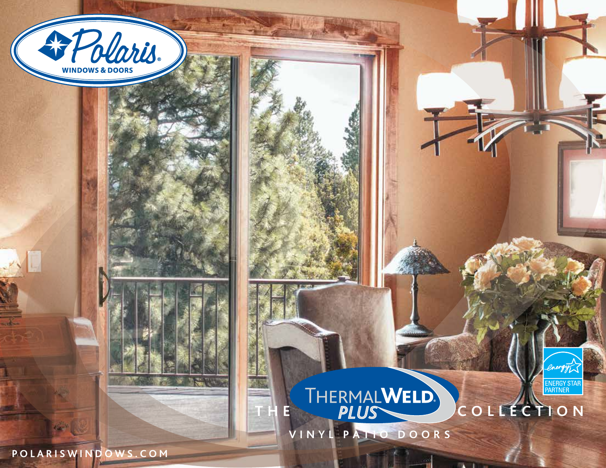



energy

ENERGY STAR<br>PARTNER

**VINYL PATIO DOORS**

 $\mathbf{r}$ 

**POLARISWINDOWS.COM**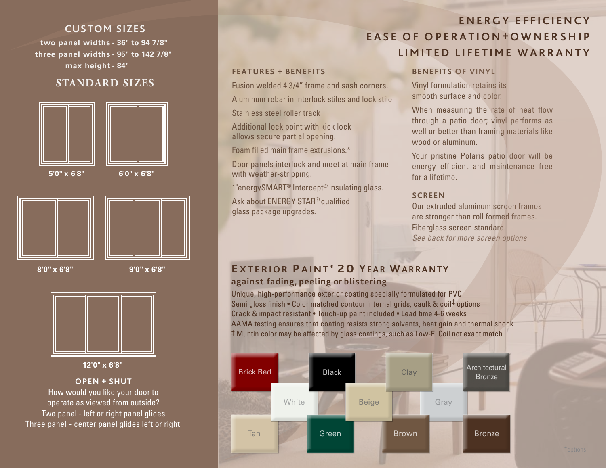## **CUSTOM SIZES**

**two panel widths - 36" to 94 7/8" three panel widths - 95" to 142 7/8" max height - 84"**

## **STANDARD SIZES**



**5'0" x 6'8" 6'0" x 6'8"**





**8'0" x 6'8" 9'0" x 6'8"**



**12'0" x 6'8"**

### **OPEN + SHUT**

How would you like your door to operate as viewed from outside? Two panel - left or right panel glides Three panel - center panel glides left or right

# **ENERGY EFFICIENCY EASE OF O PERATION + OWNERSHIP LIMITED LIFETIME WARRANTY**

### **FEATURES + BENE FITS**

Fusion welded 4 3/4" frame and sash corners. Aluminum rebar in interlock stiles and lock stile Stainless steel roller track

Additional lock point with kick lock allows secure partial opening.

Foam filled main frame extrusions.\*

Door panels interlock and meet at main frame with weather-stripping.

1"energySMART® Intercept® insulating glass.

Ask about ENERGY STAR® qualified glass package upgrades.

## **BENEFITS OF VINYL**

Vinyl formulation retains its smooth surface and color.

When measuring the rate of heat flow through a patio door; vinyl performs as well or better than framing materials like wood or aluminum.

Your pristine Polaris patio door will be energy efficient and maintenance free for a lifetime.

## **SCREEN**

Our extruded aluminum screen frames are stronger than roll formed frames. Fiberglass screen standard. *See back for more screen options*

## **EXTERIOR PAINT\* 20 YEAR WARRANTY agains t fading, peeling or blis tering**

Unique, high-performance exterior coating specially formulated for PVC Semi gloss finish • Color matched contour internal grids, caulk & coil‡ options Crack & impact resistant • Touch-up paint included • Lead time 4-6 weeks AAMA testing ensures that coating resists strong solvents, heat gain and thermal shock ‡ Muntin color may be affected by glass coatings, such as Low-E. Coil not exact match

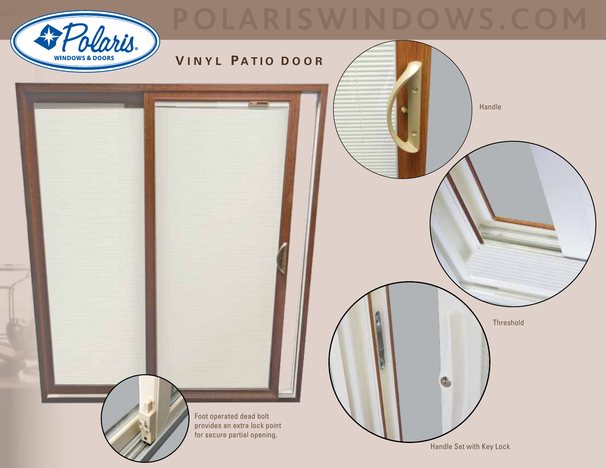